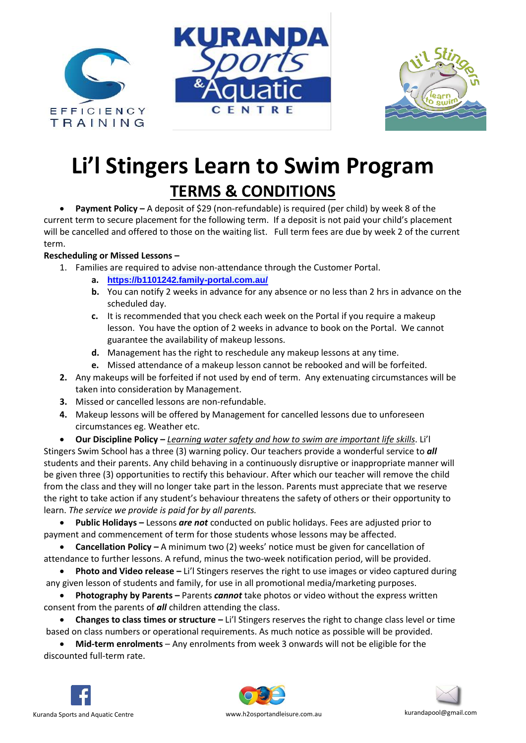





## **Li'l Stingers Learn to Swim Program TERMS & CONDITIONS**

• **Payment Policy –** A deposit of \$29 (non-refundable) is required (per child) by week 8 of the current term to secure placement for the following term. If a deposit is not paid your child's placement will be cancelled and offered to those on the waiting list. Full term fees are due by week 2 of the current term.

## **Rescheduling or Missed Lessons –**

- 1. Families are required to advise non-attendance through the Customer Portal.
	- **a. <https://b1101242.family-portal.com.au/>**
	- **b.** You can notify 2 weeks in advance for any absence or no less than 2 hrs in advance on the scheduled day.
	- **c.** It is recommended that you check each week on the Portal if you require a makeup lesson. You have the option of 2 weeks in advance to book on the Portal. We cannot guarantee the availability of makeup lessons.
	- **d.** Management has the right to reschedule any makeup lessons at any time.
	- **e.** Missed attendance of a makeup lesson cannot be rebooked and will be forfeited.
- **2.** Any makeups will be forfeited if not used by end of term. Any extenuating circumstances will be taken into consideration by Management.
- **3.** Missed or cancelled lessons are non-refundable.
- **4.** Makeup lessons will be offered by Management for cancelled lessons due to unforeseen circumstances eg. Weather etc.

• **Our Discipline Policy –** *Learning water safety and how to swim are important life skills*. Li'l Stingers Swim School has a three (3) warning policy. Our teachers provide a wonderful service to *all*  students and their parents. Any child behaving in a continuously disruptive or inappropriate manner will be given three (3) opportunities to rectify this behaviour. After which our teacher will remove the child from the class and they will no longer take part in the lesson. Parents must appreciate that we reserve the right to take action if any student's behaviour threatens the safety of others or their opportunity to learn. *The service we provide is paid for by all parents.* 

• **Public Holidays –** Lessons *are not* conducted on public holidays. Fees are adjusted prior to payment and commencement of term for those students whose lessons may be affected.

• **Cancellation Policy –** A minimum two (2) weeks' notice must be given for cancellation of attendance to further lessons. A refund, minus the two-week notification period, will be provided.

• **Photo and Video release –** Li'l Stingers reserves the right to use images or video captured during any given lesson of students and family, for use in all promotional media/marketing purposes.

• **Photography by Parents –** Parents *cannot* take photos or video without the express written consent from the parents of *all* children attending the class.

• **Changes to class times or structure –** Li'l Stingers reserves the right to change class level or time based on class numbers or operational requirements. As much notice as possible will be provided.

• **Mid-term enrolments** – Any enrolments from week 3 onwards will not be eligible for the discounted full-term rate.